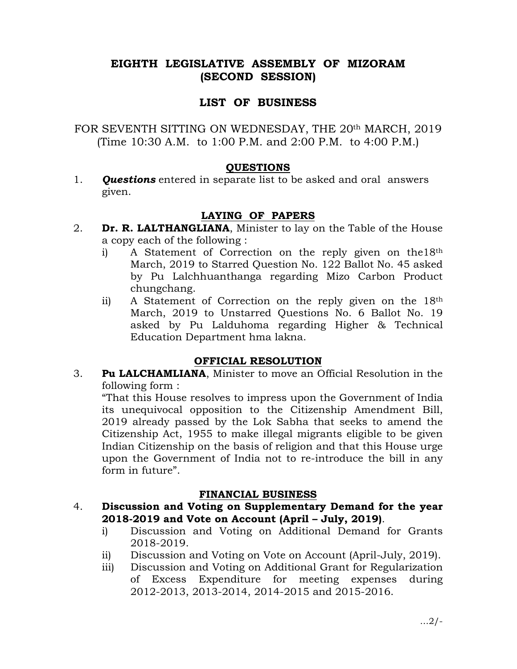# EIGHTH LEGISLATIVE ASSEMBLY OF MIZORAM (SECOND SESSION)

# LIST OF BUSINESS

FOR SEVENTH SITTING ON WEDNESDAY, THE 20<sup>th</sup> MARCH, 2019 (Time 10:30 A.M. to 1:00 P.M. and 2:00 P.M. to 4:00 P.M.)

### QUESTIONS

1. **Questions** entered in separate list to be asked and oral answers given.

# LAYING OF PAPERS

- 2. **Dr. R. LALTHANGLIANA**, Minister to lay on the Table of the House a copy each of the following :
	- i) A Statement of Correction on the reply given on the18th March, 2019 to Starred Question No. 122 Ballot No. 45 asked by Pu Lalchhuanthanga regarding Mizo Carbon Product chungchang.
	- ii) A Statement of Correction on the reply given on the 18th March, 2019 to Unstarred Questions No. 6 Ballot No. 19 asked by Pu Lalduhoma regarding Higher & Technical Education Department hma lakna.

## OFFICIAL RESOLUTION

3. Pu LALCHAMLIANA, Minister to move an Official Resolution in the following form :

 "That this House resolves to impress upon the Government of India its unequivocal opposition to the Citizenship Amendment Bill, 2019 already passed by the Lok Sabha that seeks to amend the Citizenship Act, 1955 to make illegal migrants eligible to be given Indian Citizenship on the basis of religion and that this House urge upon the Government of India not to re-introduce the bill in any form in future".

## FINANCIAL BUSINESS

### 4. Discussion and Voting on Supplementary Demand for the year 2018-2019 and Vote on Account (April – July, 2019).

- i) Discussion and Voting on Additional Demand for Grants 2018-2019.
- ii) Discussion and Voting on Vote on Account (April-July, 2019).
- iii) Discussion and Voting on Additional Grant for Regularization of Excess Expenditure for meeting expenses during 2012-2013, 2013-2014, 2014-2015 and 2015-2016.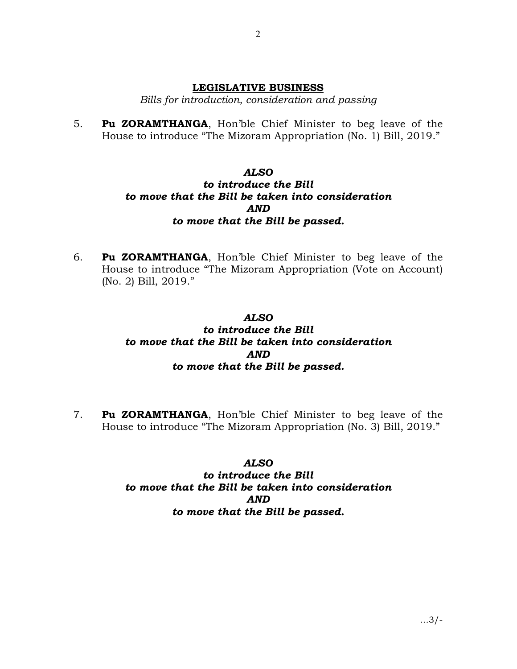### LEGISLATIVE BUSINESS

Bills for introduction, consideration and passing

5. Pu ZORAMTHANGA, Hon'ble Chief Minister to beg leave of the House to introduce "The Mizoram Appropriation (No. 1) Bill, 2019."

## ALSO to introduce the Bill to move that the Bill be taken into consideration AND to move that the Bill be passed.

6. Pu ZORAMTHANGA, Hon'ble Chief Minister to beg leave of the House to introduce "The Mizoram Appropriation (Vote on Account) (No. 2) Bill, 2019."

### ALSO

# to introduce the Bill to move that the Bill be taken into consideration AND to move that the Bill be passed.

7. Pu ZORAMTHANGA, Hon'ble Chief Minister to beg leave of the House to introduce "The Mizoram Appropriation (No. 3) Bill, 2019."

### ALSO

# to introduce the Bill to move that the Bill be taken into consideration AND to move that the Bill be passed.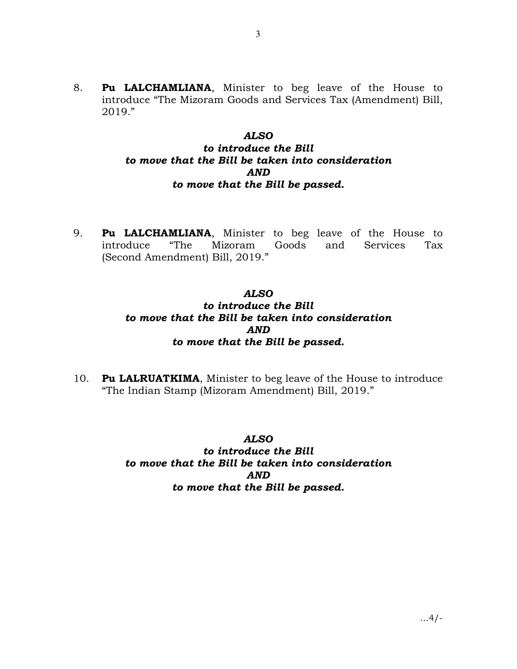8. **Pu LALCHAMLIANA**, Minister to beg leave of the House to introduce "The Mizoram Goods and Services Tax (Amendment) Bill, 2019."

#### ALSO

## to introduce the Bill to move that the Bill be taken into consideration AND to move that the Bill be passed.

9. **Pu LALCHAMLIANA**, Minister to beg leave of the House to introduce "The Mizoram Goods and Services Tax introduce "The Mizoram Goods and Services Tax (Second Amendment) Bill, 2019."

# ALSO to introduce the Bill to move that the Bill be taken into consideration AND to move that the Bill be passed.

10. Pu LALRUATKIMA, Minister to beg leave of the House to introduce "The Indian Stamp (Mizoram Amendment) Bill, 2019."

### ALSO

# to introduce the Bill to move that the Bill be taken into consideration AND to move that the Bill be passed.